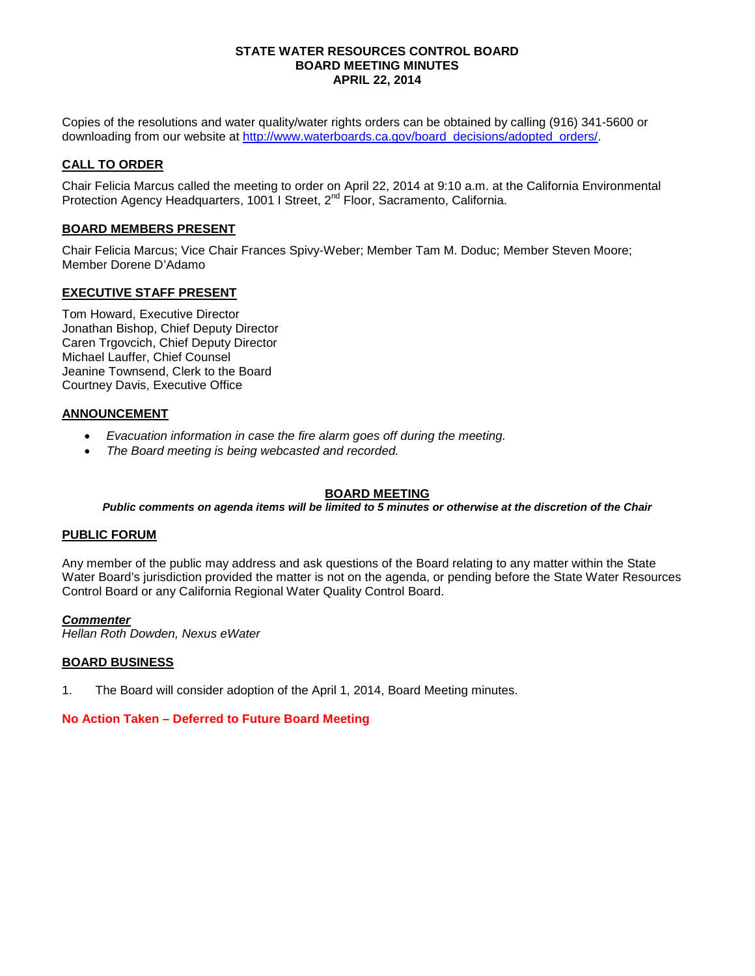#### **STATE WATER RESOURCES CONTROL BOARD BOARD MEETING MINUTES APRIL 22, 2014**

Copies of the resolutions and water quality/water rights orders can be obtained by calling (916) 341-5600 or downloading from our website at [http://www.waterboards.ca.gov/board\\_decisions/adopted\\_orders/.](http://www.waterboards.ca.gov/board_decisions/adopted_orders/)

## **CALL TO ORDER**

Chair Felicia Marcus called the meeting to order on April 22, 2014 at 9:10 a.m. at the California Environmental Protection Agency Headquarters, 1001 I Street, 2<sup>nd</sup> Floor, Sacramento, California.

## **BOARD MEMBERS PRESENT**

Chair Felicia Marcus; Vice Chair Frances Spivy-Weber; Member Tam M. Doduc; Member Steven Moore; Member Dorene D'Adamo

## **EXECUTIVE STAFF PRESENT**

Tom Howard, Executive Director Jonathan Bishop, Chief Deputy Director Caren Trgovcich, Chief Deputy Director Michael Lauffer, Chief Counsel Jeanine Townsend, Clerk to the Board Courtney Davis, Executive Office

## **ANNOUNCEMENT**

- *Evacuation information in case the fire alarm goes off during the meeting.*
- *The Board meeting is being webcasted and recorded.*

## **BOARD MEETING**

### *Public comments on agenda items will be limited to 5 minutes or otherwise at the discretion of the Chair*

### **PUBLIC FORUM**

Any member of the public may address and ask questions of the Board relating to any matter within the State Water Board's jurisdiction provided the matter is not on the agenda, or pending before the State Water Resources Control Board or any California Regional Water Quality Control Board.

### *Commenter*

*Hellan Roth Dowden, Nexus eWater*

### **BOARD BUSINESS**

1. The Board will consider adoption of the April 1, 2014, Board Meeting minutes.

### **No Action Taken – Deferred to Future Board Meeting**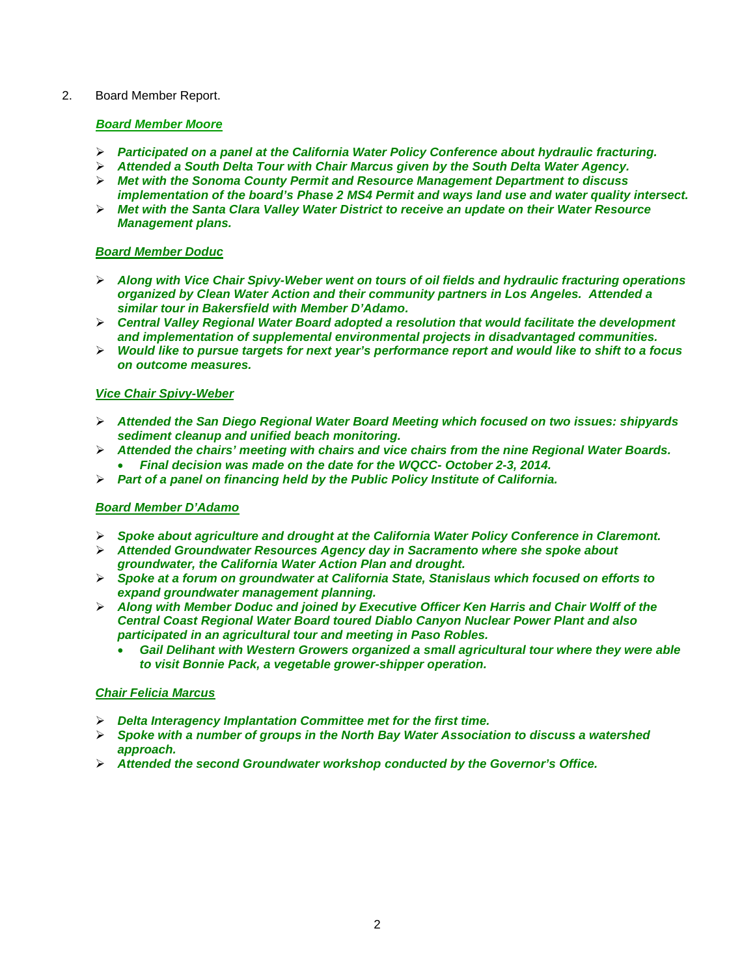## 2. Board Member Report.

## *Board Member Moore*

- *Participated on a panel at the California Water Policy Conference about hydraulic fracturing.*
- *Attended a South Delta Tour with Chair Marcus given by the South Delta Water Agency.*
- *Met with the Sonoma County Permit and Resource Management Department to discuss implementation of the board's Phase 2 MS4 Permit and ways land use and water quality intersect.*
- *Met with the Santa Clara Valley Water District to receive an update on their Water Resource Management plans.*

## *Board Member Doduc*

- *Along with Vice Chair Spivy-Weber went on tours of oil fields and hydraulic fracturing operations organized by Clean Water Action and their community partners in Los Angeles. Attended a similar tour in Bakersfield with Member D'Adamo.*
- *Central Valley Regional Water Board adopted a resolution that would facilitate the development and implementation of supplemental environmental projects in disadvantaged communities.*
- *Would like to pursue targets for next year's performance report and would like to shift to a focus on outcome measures.*

## *Vice Chair Spivy-Weber*

- *Attended the San Diego Regional Water Board Meeting which focused on two issues: shipyards sediment cleanup and unified beach monitoring.*
- *Attended the chairs' meeting with chairs and vice chairs from the nine Regional Water Boards.* • *Final decision was made on the date for the WQCC- October 2-3, 2014.*
- *Part of a panel on financing held by the Public Policy Institute of California.*

## *Board Member D'Adamo*

- *Spoke about agriculture and drought at the California Water Policy Conference in Claremont.*
- *Attended Groundwater Resources Agency day in Sacramento where she spoke about groundwater, the California Water Action Plan and drought.*
- *Spoke at a forum on groundwater at California State, Stanislaus which focused on efforts to expand groundwater management planning.*
- *Along with Member Doduc and joined by Executive Officer Ken Harris and Chair Wolff of the Central Coast Regional Water Board toured Diablo Canyon Nuclear Power Plant and also participated in an agricultural tour and meeting in Paso Robles.* 
	- *Gail Delihant with Western Growers organized a small agricultural tour where they were able to visit Bonnie Pack, a vegetable grower-shipper operation.*

### *Chair Felicia Marcus*

- *Delta Interagency Implantation Committee met for the first time.*
- *Spoke with a number of groups in the North Bay Water Association to discuss a watershed approach.*
- *Attended the second Groundwater workshop conducted by the Governor's Office.*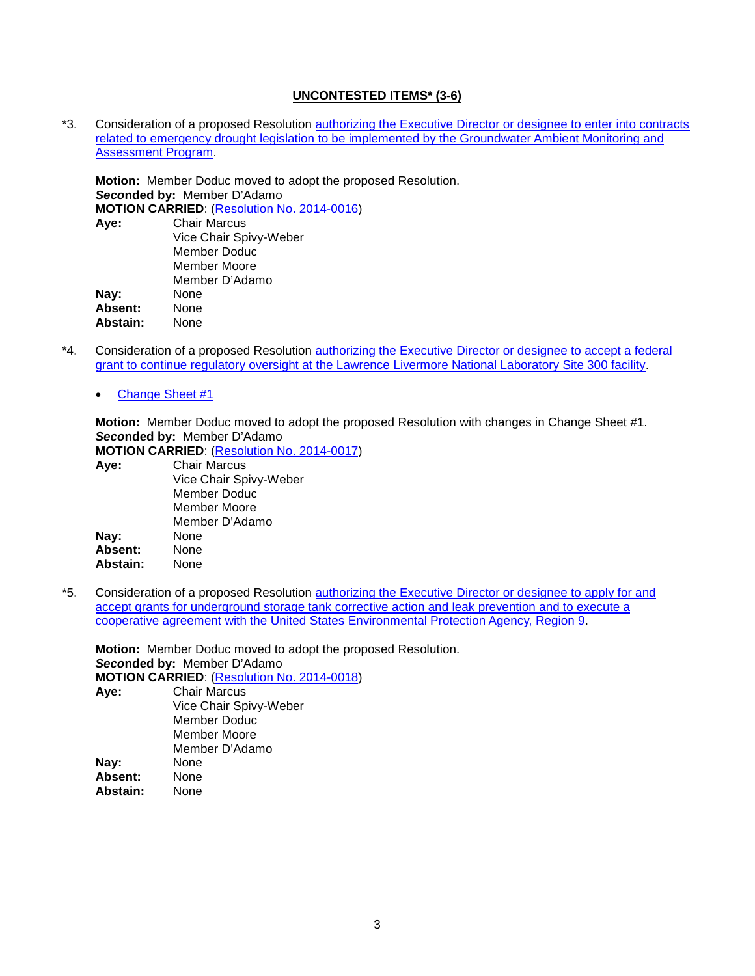### **UNCONTESTED ITEMS\* (3-6)**

\*3. Consideration of a proposed Resolution [authorizing the Executive Director or designee to enter into contracts](http://www.waterboards.ca.gov/board_info/agendas/2014/apr/042214_3_withdo.pdf)  [related to emergency drought legislation to be implemented by the Groundwater Ambient Monitoring and](http://www.waterboards.ca.gov/board_info/agendas/2014/apr/042214_3_withdo.pdf)  [Assessment Program.](http://www.waterboards.ca.gov/board_info/agendas/2014/apr/042214_3_withdo.pdf)

**Motion:** Member Doduc moved to adopt the proposed Resolution. *Seco***nded by:** Member D'Adamo **MOTION CARRIED:** (**Resolution No. 2014-0016**)<br>**Aye:** Chair Marcus **Aye:** Chair Marcus Vice Chair Spivy-Weber Member Doduc Member Moore Member D'Adamo **Nay:** None<br> **Absent:** None Absent: **Abstain:** None

- \*4. Consideration of a proposed Resolution [authorizing the Executive Director or designee to accept a federal](http://www.waterboards.ca.gov/board_info/agendas/2014/apr/042214_4_withdo.pdf)  [grant to continue regulatory oversight at the Lawrence Livermore National Laboratory Site 300 facility.](http://www.waterboards.ca.gov/board_info/agendas/2014/apr/042214_4_withdo.pdf)
	- [Change Sheet #1](http://www.waterboards.ca.gov/board_info/agendas/2014/apr/042214_4_changesheet1.pdf)

**Motion:** Member Doduc moved to adopt the proposed Resolution with changes in Change Sheet #1. *Seco***nded by:** Member D'Adamo

**MOTION CARRIED**: [\(Resolution No. 2014-0017\)](http://www.waterboards.ca.gov/board_decisions/adopted_orders/resolutions/2014/rs2014_0017.pdf)

| Aye:     | <b>Chair Marcus</b>    |
|----------|------------------------|
|          | Vice Chair Spivy-Weber |
|          | Member Doduc           |
|          | Member Moore           |
|          | Member D'Adamo         |
| Nay:     | None                   |
| Absent:  | None                   |
| Abstain: | None                   |

\*5. Consideration of a proposed Resolution [authorizing the Executive Director or designee to apply for and](http://www.waterboards.ca.gov/board_info/agendas/2014/apr/042214_5_withdo.pdf)  [accept grants for underground storage tank corrective action and leak prevention and to execute a](http://www.waterboards.ca.gov/board_info/agendas/2014/apr/042214_5_withdo.pdf)  [cooperative agreement with the United States Environmental Protection Agency, Region 9.](http://www.waterboards.ca.gov/board_info/agendas/2014/apr/042214_5_withdo.pdf)

**Motion:** Member Doduc moved to adopt the proposed Resolution. *Seco***nded by:** Member D'Adamo **MOTION CARRIED:** (**Resolution No. 2014-0018**)<br>**Aye:** Chair Marcus **Aye:** Chair Marcus Vice Chair Spivy-Weber Member Doduc Member Moore Member D'Adamo **Nay:** None<br> **Absent:** None Absent: **Abstain:** None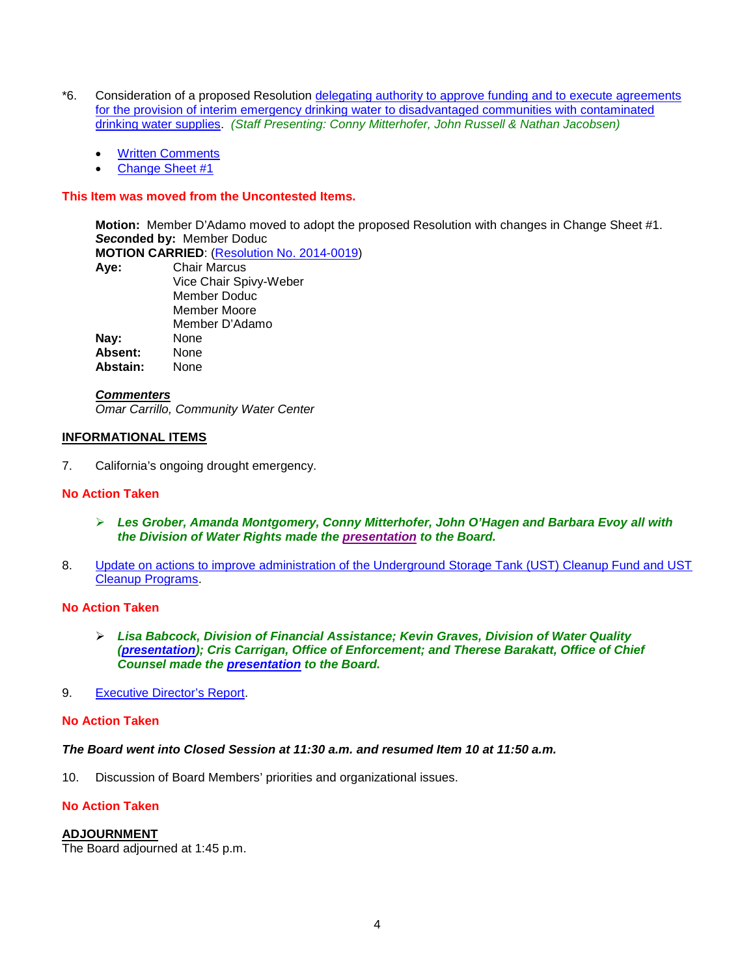- \*6. Consideration of a proposed Resolution [delegating authority to approve funding and to execute agreements](http://www.waterboards.ca.gov/board_info/agendas/2014/apr/042214_6_withdo.pdf)  [for the provision of interim emergency drinking water to disadvantaged communities with contaminated](http://www.waterboards.ca.gov/board_info/agendas/2014/apr/042214_6_withdo.pdf)  [drinking water supplies.](http://www.waterboards.ca.gov/board_info/agendas/2014/apr/042214_6_withdo.pdf) *(Staff Presenting: Conny Mitterhofer, John Russell & Nathan Jacobsen)*
	- [Written Comments](http://www.waterboards.ca.gov/board_info/agendas/2014/apr/comments042214_6/comments_edw.pdf)
	- [Change Sheet #1](http://www.waterboards.ca.gov/board_info/agendas/2014/apr/042214_6_changesheet1.pdf)

## **This Item was moved from the Uncontested Items.**

**Motion:** Member D'Adamo moved to adopt the proposed Resolution with changes in Change Sheet #1. *Seco***nded by:** Member Doduc

**MOTION CARRIED:** (**Resolution No. 2014-0019**)<br>**Ave:** Chair Marcus

| Aye:     | <b>Chair Marcus</b>    |
|----------|------------------------|
|          | Vice Chair Spivy-Weber |
|          | Member Doduc           |
|          | Member Moore           |
|          | Member D'Adamo         |
| Nay:     | None                   |
| Absent:  | None                   |
| Abstain: | None                   |
|          |                        |

### *Commenters*

*Omar Carrillo, Community Water Center*

## **INFORMATIONAL ITEMS**

7. California's ongoing drought emergency.

## **No Action Taken**

- *Les Grober, Amanda Montgomery, Conny Mitterhofer, John O'Hagen and Barbara Evoy all with the Division of Water Rights made the [presentation](http://www.waterboards.ca.gov/board_info/minutes/2014/apr/042214_7staffpres.pdf) to the Board.*
- 8. [Update on actions to improve administration of the Underground Storage Tank \(UST\) Cleanup Fund and UST](http://www.waterboards.ca.gov/board_info/agendas/2014/apr/042214_8.pdf)  [Cleanup Programs.](http://www.waterboards.ca.gov/board_info/agendas/2014/apr/042214_8.pdf)

## **No Action Taken**

- *Lisa Babcock, Division of Financial Assistance; Kevin Graves, Division of Water Quality [\(presentation\)](http://www.waterboards.ca.gov/board_info/minutes/2014/apr/042214_8staffpres_graves.pdf); Cris Carrigan, Office of Enforcement; and Therese Barakatt, Office of Chief Counsel made the [presentation](http://www.waterboards.ca.gov/board_info/minutes/2014/apr/042214_8staffpres.pdf) to the Board.*
- 9. [Executive Director's Report.](http://www.waterboards.ca.gov/board_info/exec_dir_rpts/2014/edrpt042214.pdf)

## **No Action Taken**

### *The Board went into Closed Session at 11:30 a.m. and resumed Item 10 at 11:50 a.m.*

10. Discussion of Board Members' priorities and organizational issues.

# **No Action Taken**

## **ADJOURNMENT**

The Board adjourned at 1:45 p.m.